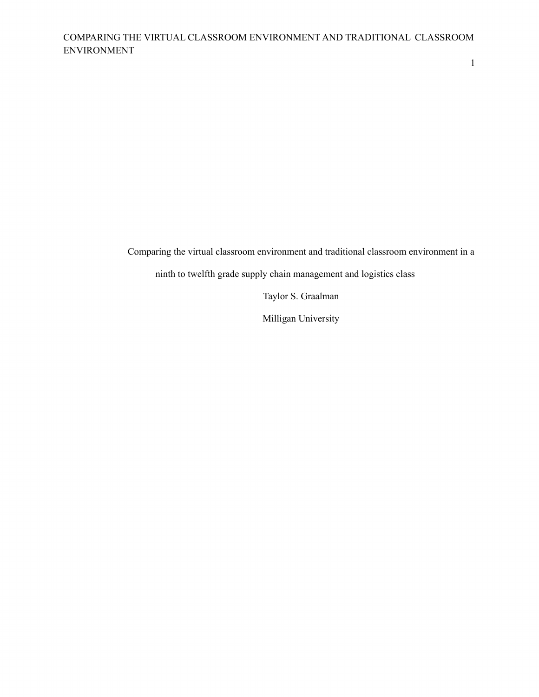1

Comparing the virtual classroom environment and traditional classroom environment in a

ninth to twelfth grade supply chain management and logistics class

Taylor S. Graalman

Milligan University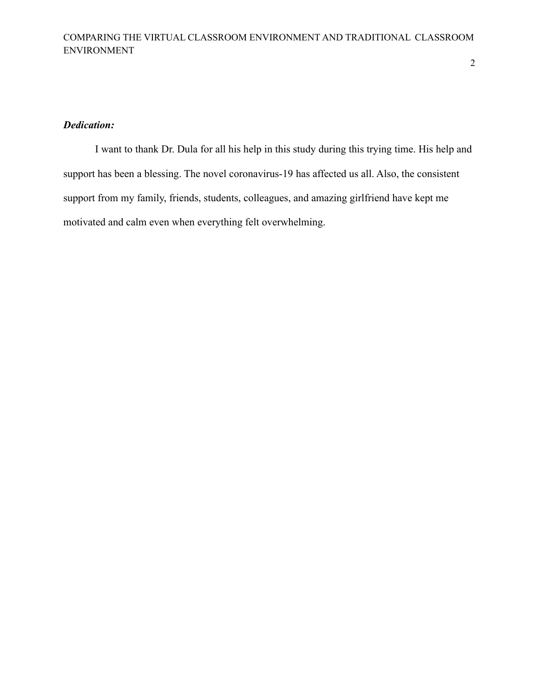# *Dedication:*

I want to thank Dr. Dula for all his help in this study during this trying time. His help and support has been a blessing. The novel coronavirus-19 has affected us all. Also, the consistent support from my family, friends, students, colleagues, and amazing girlfriend have kept me motivated and calm even when everything felt overwhelming.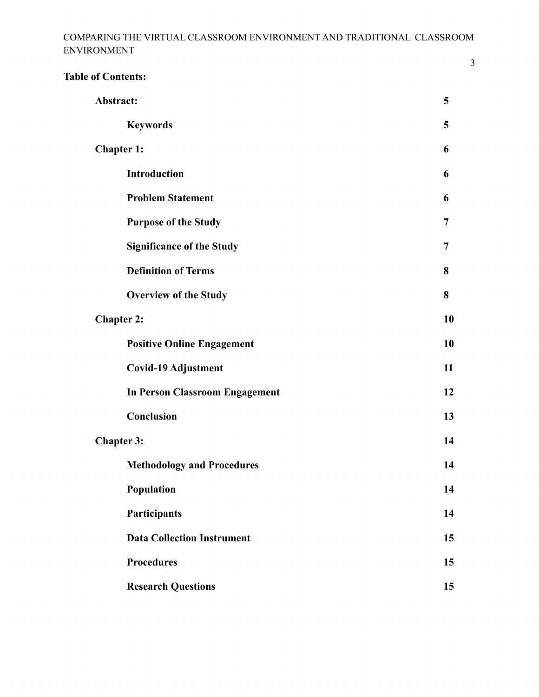| <b>Table of Contents:</b>                                                                                                                                      |                                       |    |
|----------------------------------------------------------------------------------------------------------------------------------------------------------------|---------------------------------------|----|
|                                                                                                                                                                | Abstract:                             | 5  |
|                                                                                                                                                                | <b>Keywords</b>                       | 5  |
| <b>Chapter 1:</b><br>Introduction<br><b>Problem Statement</b><br><b>Purpose of the Study</b><br><b>Significance of the Study</b><br><b>Definition of Terms</b> |                                       | 6  |
|                                                                                                                                                                |                                       | 6  |
|                                                                                                                                                                |                                       | 6  |
|                                                                                                                                                                |                                       | 7  |
|                                                                                                                                                                |                                       | 7  |
|                                                                                                                                                                |                                       | 8  |
|                                                                                                                                                                | <b>Overview of the Study</b>          | 8  |
| <b>Chapter 2:</b>                                                                                                                                              |                                       | 10 |
|                                                                                                                                                                | <b>Positive Online Engagement</b>     | 10 |
|                                                                                                                                                                | <b>Covid-19 Adjustment</b>            | 11 |
|                                                                                                                                                                | <b>In Person Classroom Engagement</b> | 12 |
|                                                                                                                                                                | Conclusion                            | 13 |
| <b>Chapter 3:</b>                                                                                                                                              |                                       | 14 |
|                                                                                                                                                                | <b>Methodology and Procedures</b>     | 14 |
|                                                                                                                                                                | Population                            | 14 |
|                                                                                                                                                                | Participants                          | 14 |
|                                                                                                                                                                | <b>Data Collection Instrument</b>     | 15 |
|                                                                                                                                                                | <b>Procedures</b>                     | 15 |
|                                                                                                                                                                | <b>Research Questions</b>             | 15 |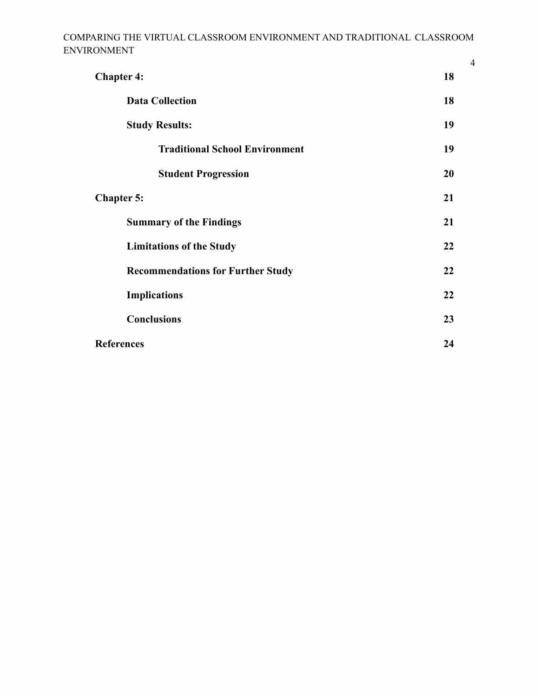| <b>Chapter 4:</b>                        |    |
|------------------------------------------|----|
| <b>Data Collection</b>                   | 18 |
| <b>Study Results:</b>                    | 19 |
| <b>Traditional School Environment</b>    | 19 |
| <b>Student Progression</b>               | 20 |
| <b>Chapter 5:</b>                        |    |
| <b>Summary of the Findings</b>           | 21 |
| <b>Limitations of the Study</b>          | 22 |
| <b>Recommendations for Further Study</b> | 22 |
| <b>Implications</b>                      | 22 |
| <b>Conclusions</b>                       | 23 |
| <b>References</b>                        |    |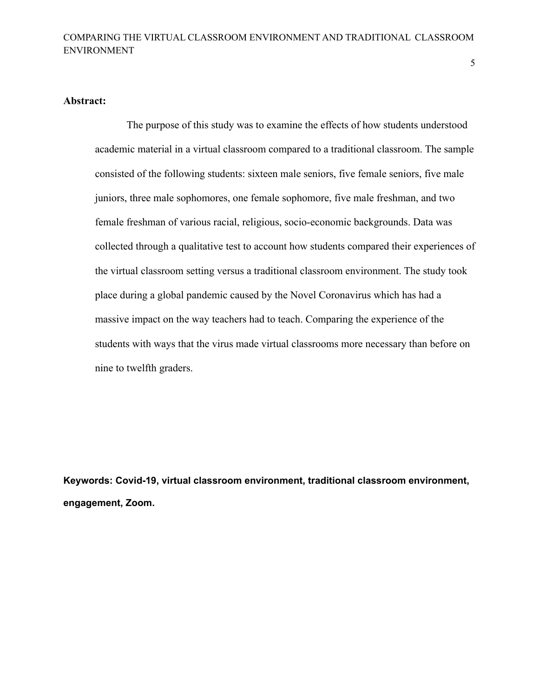5

### **Abstract:**

The purpose of this study was to examine the effects of how students understood academic material in a virtual classroom compared to a traditional classroom. The sample consisted of the following students: sixteen male seniors, five female seniors, five male juniors, three male sophomores, one female sophomore, five male freshman, and two female freshman of various racial, religious, socio-economic backgrounds. Data was collected through a qualitative test to account how students compared their experiences of the virtual classroom setting versus a traditional classroom environment. The study took place during a global pandemic caused by the Novel Coronavirus which has had a massive impact on the way teachers had to teach. Comparing the experience of the students with ways that the virus made virtual classrooms more necessary than before on nine to twelfth graders.

**Keywords: Covid-19, virtual classroom environment, traditional classroom environment, engagement, Zoom.**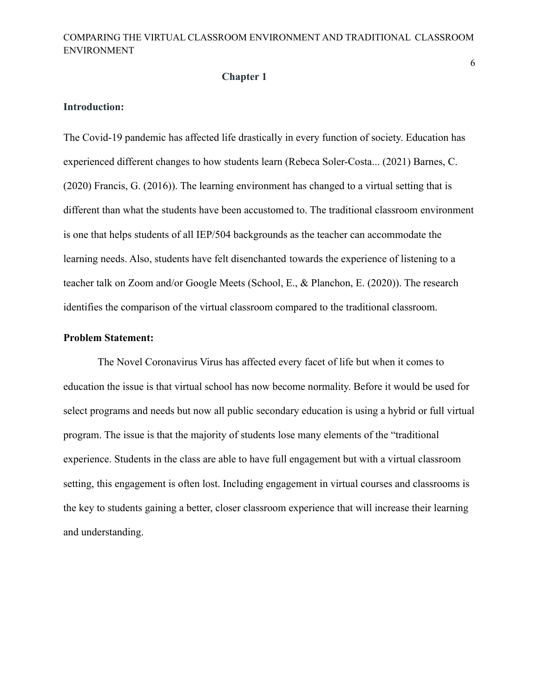#### **Chapter 1**

### **Introduction:**

The Covid-19 pandemic has affected life drastically in every function of society. Education has experienced different changes to how students learn (Rebeca Soler-Costa... (2021) Barnes, C. (2020) Francis, G. (2016)). The learning environment has changed to a virtual setting that is different than what the students have been accustomed to. The traditional classroom environment is one that helps students of all IEP/504 backgrounds as the teacher can accommodate the learning needs. Also, students have felt disenchanted towards the experience of listening to a teacher talk on Zoom and/or Google Meets (School, E., & Planchon, E. (2020)). The research identifies the comparison of the virtual classroom compared to the traditional classroom.

#### **Problem Statement:**

The Novel Coronavirus Virus has affected every facet of life but when it comes to education the issue is that virtual school has now become normality. Before it would be used for select programs and needs but now all public secondary education is using a hybrid or full virtual program. The issue is that the majority of students lose many elements of the "traditional experience. Students in the class are able to have full engagement but with a virtual classroom setting, this engagement is often lost. Including engagement in virtual courses and classrooms is the key to students gaining a better, closer classroom experience that will increase their learning and understanding.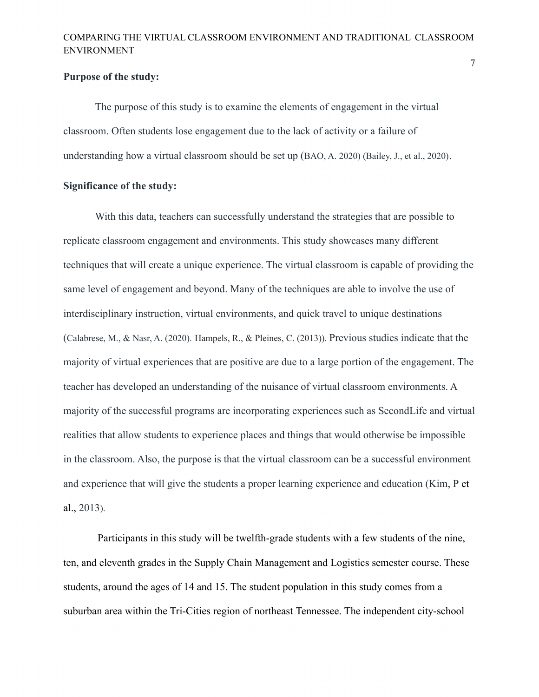#### **Purpose of the study:**

The purpose of this study is to examine the elements of engagement in the virtual classroom. Often students lose engagement due to the lack of activity or a failure of understanding how a virtual classroom should be set up (BAO, A. 2020) (Bailey, J., et al., 2020).

## **Significance of the study:**

With this data, teachers can successfully understand the strategies that are possible to replicate classroom engagement and environments. This study showcases many different techniques that will create a unique experience. The virtual classroom is capable of providing the same level of engagement and beyond. Many of the techniques are able to involve the use of interdisciplinary instruction, virtual environments, and quick travel to unique destinations (Calabrese, M., & Nasr, A. (2020). Hampels, R., & Pleines, C. (2013)). Previous studies indicate that the majority of virtual experiences that are positive are due to a large portion of the engagement. The teacher has developed an understanding of the nuisance of virtual classroom environments. A majority of the successful programs are incorporating experiences such as SecondLife and virtual realities that allow students to experience places and things that would otherwise be impossible in the classroom. Also, the purpose is that the virtual classroom can be a successful environment and experience that will give the students a proper learning experience and education (Kim, P et al., 2013).

Participants in this study will be twelfth-grade students with a few students of the nine, ten, and eleventh grades in the Supply Chain Management and Logistics semester course. These students, around the ages of 14 and 15. The student population in this study comes from a suburban area within the Tri-Cities region of northeast Tennessee. The independent city-school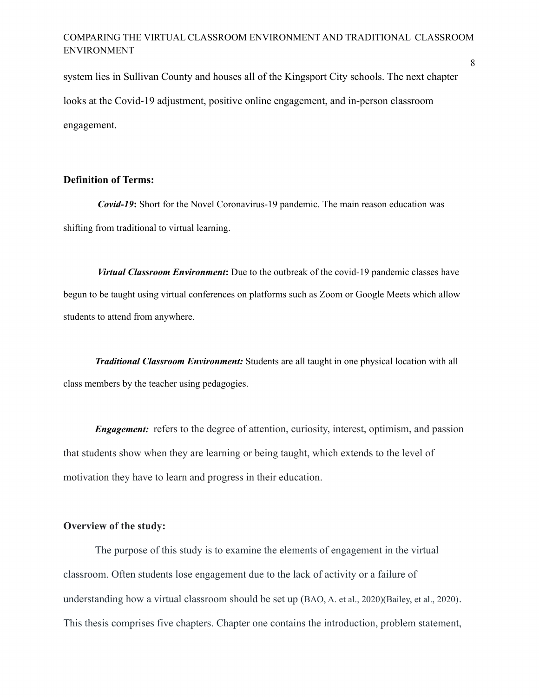system lies in Sullivan County and houses all of the Kingsport City schools. The next chapter looks at the Covid-19 adjustment, positive online engagement, and in-person classroom engagement.

### **Definition of Terms:**

*Covid-19***:** Short for the Novel Coronavirus-19 pandemic. The main reason education was shifting from traditional to virtual learning.

*Virtual Classroom Environment***:** Due to the outbreak of the covid-19 pandemic classes have begun to be taught using virtual conferences on platforms such as Zoom or Google Meets which allow students to attend from anywhere.

*Traditional Classroom Environment:* Students are all taught in one physical location with all class members by the teacher using pedagogies.

*Engagement:* refers to the degree of attention, curiosity, interest, optimism, and passion that students show when they are learning or being taught, which extends to the level of motivation they have to learn and progress in their education.

#### **Overview of the study:**

The purpose of this study is to examine the elements of engagement in the virtual classroom. Often students lose engagement due to the lack of activity or a failure of understanding how a virtual classroom should be set up (BAO, A. et al., 2020)(Bailey, et al., 2020). This thesis comprises five chapters. Chapter one contains the introduction, problem statement,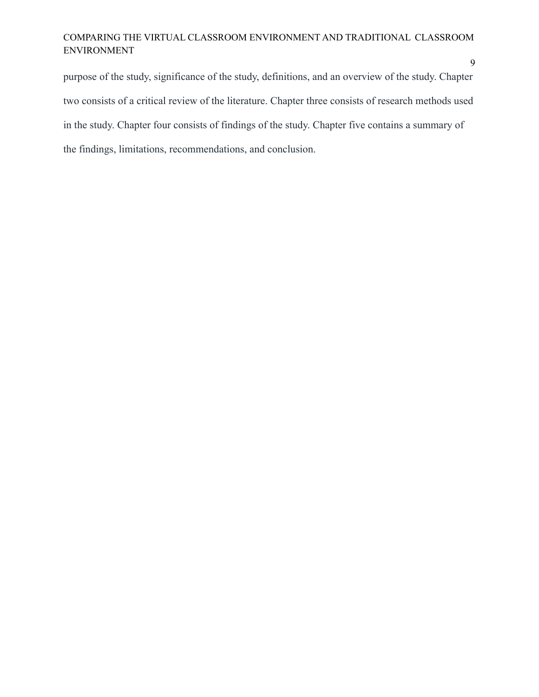purpose of the study, significance of the study, definitions, and an overview of the study. Chapter two consists of a critical review of the literature. Chapter three consists of research methods used in the study. Chapter four consists of findings of the study. Chapter five contains a summary of the findings, limitations, recommendations, and conclusion.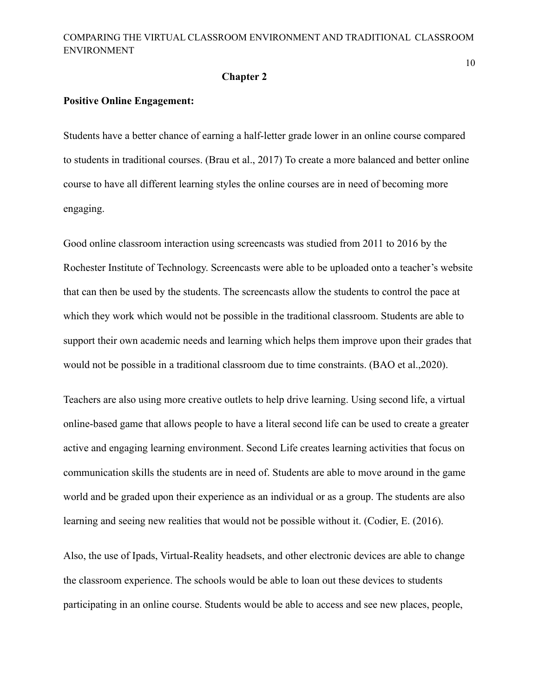#### **Chapter 2**

#### **Positive Online Engagement:**

Students have a better chance of earning a half-letter grade lower in an online course compared to students in traditional courses. (Brau et al., 2017) To create a more balanced and better online course to have all different learning styles the online courses are in need of becoming more engaging.

Good online classroom interaction using screencasts was studied from 2011 to 2016 by the Rochester Institute of Technology. Screencasts were able to be uploaded onto a teacher's website that can then be used by the students. The screencasts allow the students to control the pace at which they work which would not be possible in the traditional classroom. Students are able to support their own academic needs and learning which helps them improve upon their grades that would not be possible in a traditional classroom due to time constraints. (BAO et al.,2020).

Teachers are also using more creative outlets to help drive learning. Using second life, a virtual online-based game that allows people to have a literal second life can be used to create a greater active and engaging learning environment. Second Life creates learning activities that focus on communication skills the students are in need of. Students are able to move around in the game world and be graded upon their experience as an individual or as a group. The students are also learning and seeing new realities that would not be possible without it. (Codier, E. (2016).

Also, the use of Ipads, Virtual-Reality headsets, and other electronic devices are able to change the classroom experience. The schools would be able to loan out these devices to students participating in an online course. Students would be able to access and see new places, people,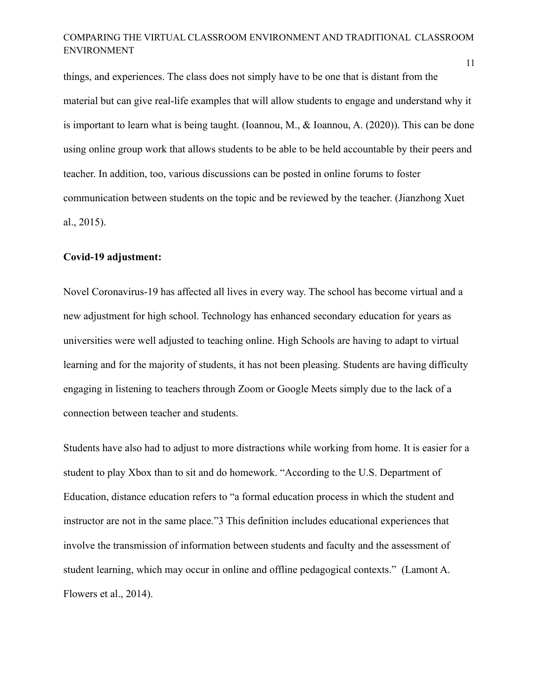things, and experiences. The class does not simply have to be one that is distant from the material but can give real-life examples that will allow students to engage and understand why it is important to learn what is being taught. (Ioannou, M., & Ioannou, A. (2020)). This can be done using online group work that allows students to be able to be held accountable by their peers and teacher. In addition, too, various discussions can be posted in online forums to foster communication between students on the topic and be reviewed by the teacher. (Jianzhong Xuet al., 2015).

## **Covid-19 adjustment:**

Novel Coronavirus-19 has affected all lives in every way. The school has become virtual and a new adjustment for high school. Technology has enhanced secondary education for years as universities were well adjusted to teaching online. High Schools are having to adapt to virtual learning and for the majority of students, it has not been pleasing. Students are having difficulty engaging in listening to teachers through Zoom or Google Meets simply due to the lack of a connection between teacher and students.

Students have also had to adjust to more distractions while working from home. It is easier for a student to play Xbox than to sit and do homework. "According to the U.S. Department of Education, distance education refers to "a formal education process in which the student and instructor are not in the same place."3 This definition includes educational experiences that involve the transmission of information between students and faculty and the assessment of student learning, which may occur in online and offline pedagogical contexts." (Lamont A. Flowers et al., 2014).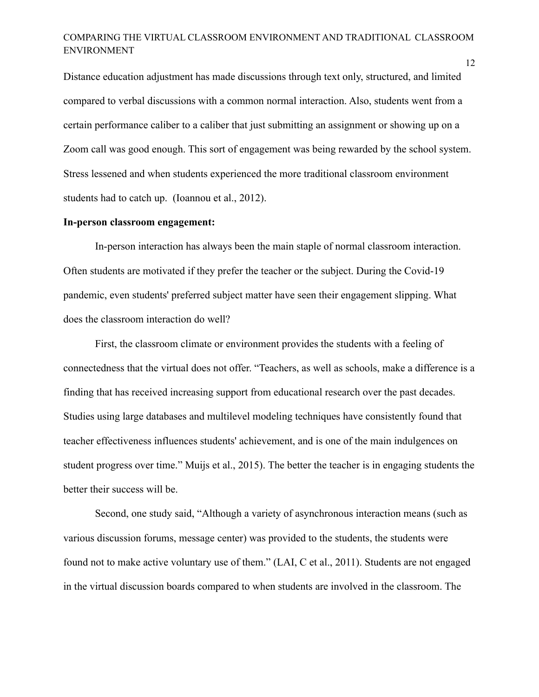Distance education adjustment has made discussions through text only, structured, and limited compared to verbal discussions with a common normal interaction. Also, students went from a certain performance caliber to a caliber that just submitting an assignment or showing up on a Zoom call was good enough. This sort of engagement was being rewarded by the school system. Stress lessened and when students experienced the more traditional classroom environment students had to catch up. (Ioannou et al., 2012).

#### **In-person classroom engagement:**

In-person interaction has always been the main staple of normal classroom interaction. Often students are motivated if they prefer the teacher or the subject. During the Covid-19 pandemic, even students' preferred subject matter have seen their engagement slipping. What does the classroom interaction do well?

First, the classroom climate or environment provides the students with a feeling of connectedness that the virtual does not offer. "Teachers, as well as schools, make a difference is a finding that has received increasing support from educational research over the past decades. Studies using large databases and multilevel modeling techniques have consistently found that teacher effectiveness influences students' achievement, and is one of the main indulgences on student progress over time." Muijs et al., 2015). The better the teacher is in engaging students the better their success will be.

Second, one study said, "Although a variety of asynchronous interaction means (such as various discussion forums, message center) was provided to the students, the students were found not to make active voluntary use of them." (LAI, C et al., 2011). Students are not engaged in the virtual discussion boards compared to when students are involved in the classroom. The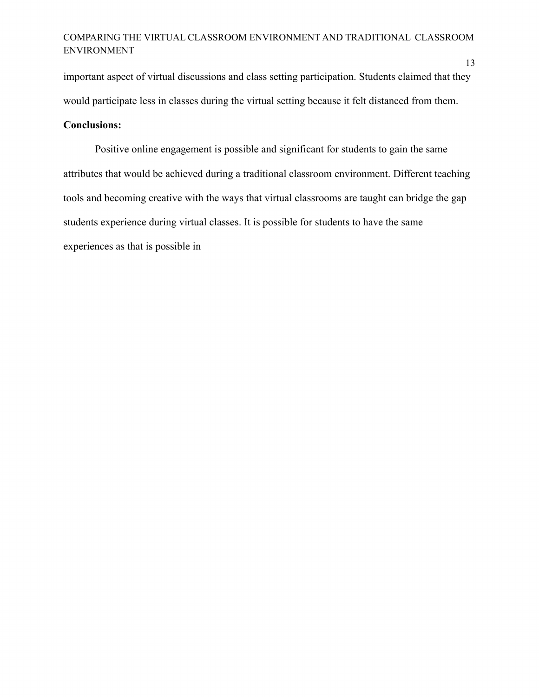important aspect of virtual discussions and class setting participation. Students claimed that they would participate less in classes during the virtual setting because it felt distanced from them.

# **Conclusions:**

Positive online engagement is possible and significant for students to gain the same attributes that would be achieved during a traditional classroom environment. Different teaching tools and becoming creative with the ways that virtual classrooms are taught can bridge the gap students experience during virtual classes. It is possible for students to have the same experiences as that is possible in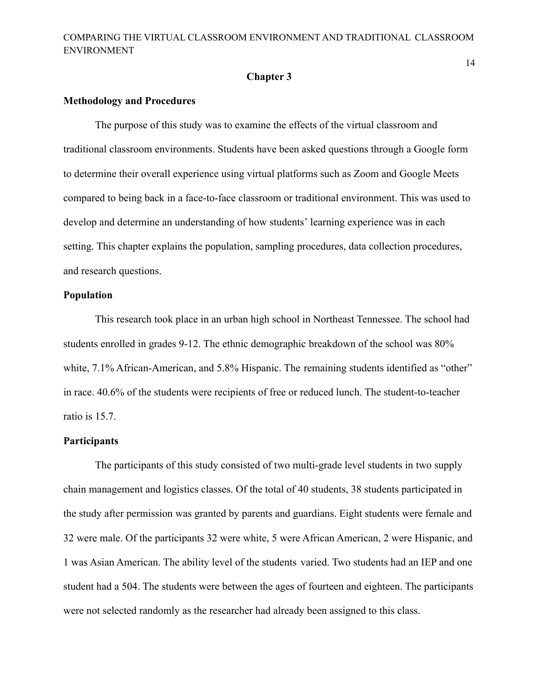#### **Chapter 3**

#### **Methodology and Procedures**

The purpose of this study was to examine the effects of the virtual classroom and traditional classroom environments. Students have been asked questions through a Google form to determine their overall experience using virtual platforms such as Zoom and Google Meets compared to being back in a face-to-face classroom or traditional environment. This was used to develop and determine an understanding of how students' learning experience was in each setting. This chapter explains the population, sampling procedures, data collection procedures, and research questions.

#### **Population**

This research took place in an urban high school in Northeast Tennessee. The school had students enrolled in grades 9-12. The ethnic demographic breakdown of the school was 80% white, 7.1% African-American, and 5.8% Hispanic. The remaining students identified as "other" in race. 40.6% of the students were recipients of free or reduced lunch. The student-to-teacher ratio is 15.7.

## **Participants**

The participants of this study consisted of two multi-grade level students in two supply chain management and logistics classes. Of the total of 40 students, 38 students participated in the study after permission was granted by parents and guardians. Eight students were female and 32 were male. Of the participants 32 were white, 5 were African American, 2 were Hispanic, and 1 was Asian American. The ability level of the students varied. Two students had an IEP and one student had a 504. The students were between the ages of fourteen and eighteen. The participants were not selected randomly as the researcher had already been assigned to this class.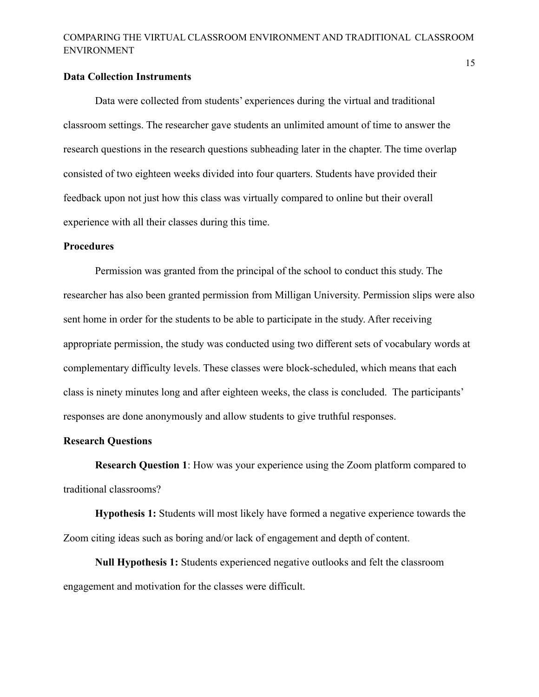#### **Data Collection Instruments**

Data were collected from students' experiences during the virtual and traditional classroom settings. The researcher gave students an unlimited amount of time to answer the research questions in the research questions subheading later in the chapter. The time overlap consisted of two eighteen weeks divided into four quarters. Students have provided their feedback upon not just how this class was virtually compared to online but their overall experience with all their classes during this time.

## **Procedures**

Permission was granted from the principal of the school to conduct this study. The researcher has also been granted permission from Milligan University. Permission slips were also sent home in order for the students to be able to participate in the study. After receiving appropriate permission, the study was conducted using two different sets of vocabulary words at complementary difficulty levels. These classes were block-scheduled, which means that each class is ninety minutes long and after eighteen weeks, the class is concluded. The participants' responses are done anonymously and allow students to give truthful responses.

## **Research Questions**

**Research Question 1**: How was your experience using the Zoom platform compared to traditional classrooms?

**Hypothesis 1:** Students will most likely have formed a negative experience towards the Zoom citing ideas such as boring and/or lack of engagement and depth of content.

**Null Hypothesis 1:** Students experienced negative outlooks and felt the classroom engagement and motivation for the classes were difficult.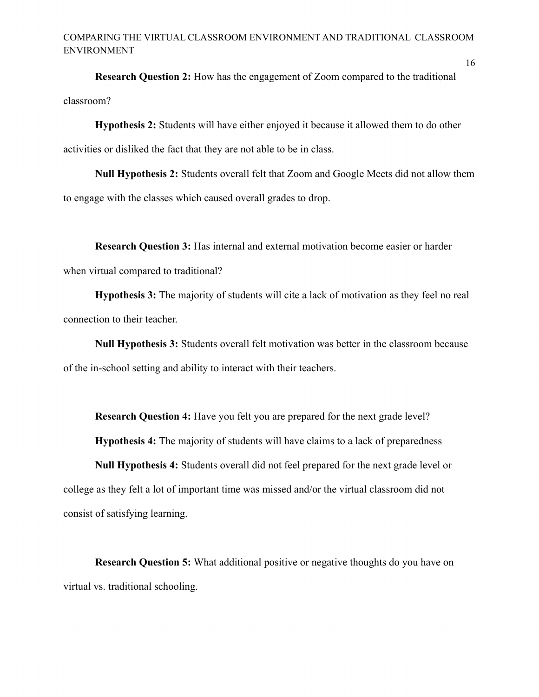**Research Question 2:** How has the engagement of Zoom compared to the traditional classroom?

**Hypothesis 2:** Students will have either enjoyed it because it allowed them to do other activities or disliked the fact that they are not able to be in class.

**Null Hypothesis 2:** Students overall felt that Zoom and Google Meets did not allow them to engage with the classes which caused overall grades to drop.

**Research Question 3:** Has internal and external motivation become easier or harder when virtual compared to traditional?

**Hypothesis 3:** The majority of students will cite a lack of motivation as they feel no real connection to their teacher.

**Null Hypothesis 3:** Students overall felt motivation was better in the classroom because of the in-school setting and ability to interact with their teachers.

**Research Question 4:** Have you felt you are prepared for the next grade level?

**Hypothesis 4:** The majority of students will have claims to a lack of preparedness

**Null Hypothesis 4:** Students overall did not feel prepared for the next grade level or college as they felt a lot of important time was missed and/or the virtual classroom did not consist of satisfying learning.

**Research Question 5:** What additional positive or negative thoughts do you have on virtual vs. traditional schooling.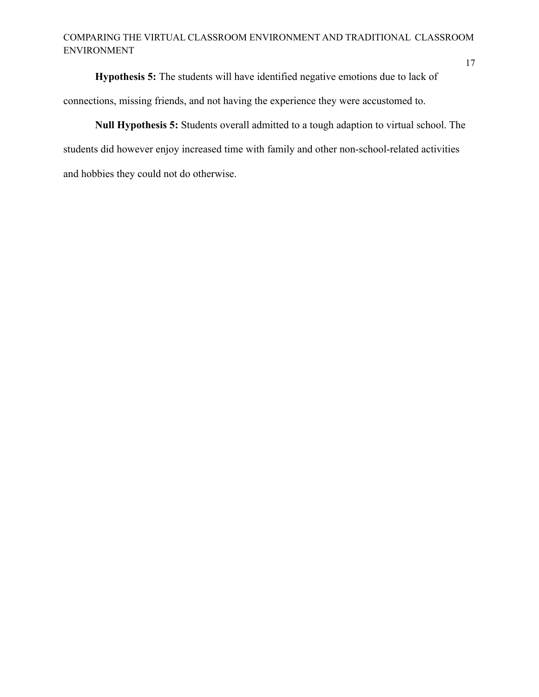17

**Hypothesis 5:** The students will have identified negative emotions due to lack of connections, missing friends, and not having the experience they were accustomed to.

**Null Hypothesis 5:** Students overall admitted to a tough adaption to virtual school. The students did however enjoy increased time with family and other non-school-related activities and hobbies they could not do otherwise.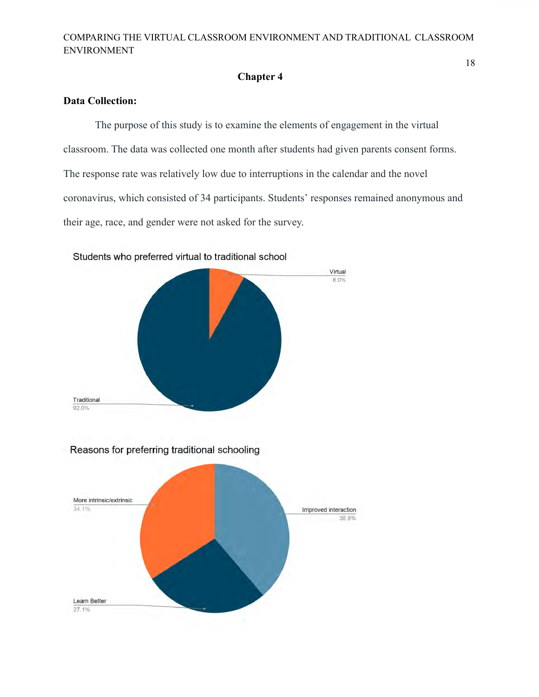# **Chapter 4**

# **Data Collection:**

The purpose of this study is to examine the elements of engagement in the virtual classroom. The data was collected one month after students had given parents consent forms. The response rate was relatively low due to interruptions in the calendar and the novel coronavirus, which consisted of 34 participants. Students' responses remained anonymous and their age, race, and gender were not asked for the survey.



Students who preferred virtual to traditional school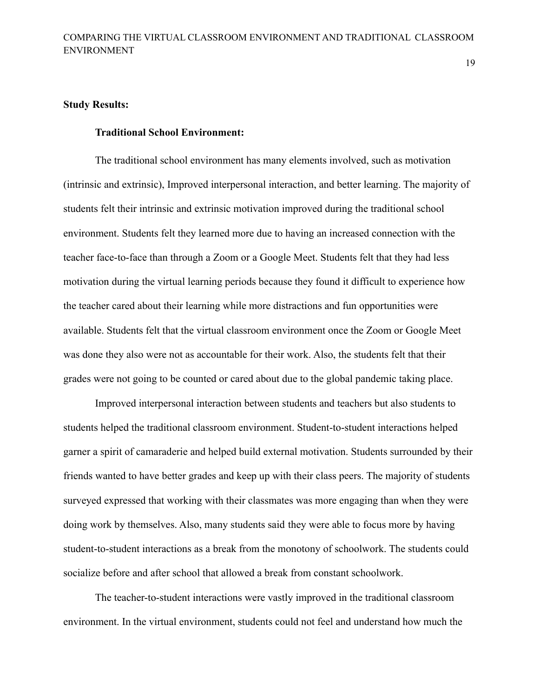19

### **Study Results:**

## **Traditional School Environment:**

The traditional school environment has many elements involved, such as motivation (intrinsic and extrinsic), Improved interpersonal interaction, and better learning. The majority of students felt their intrinsic and extrinsic motivation improved during the traditional school environment. Students felt they learned more due to having an increased connection with the teacher face-to-face than through a Zoom or a Google Meet. Students felt that they had less motivation during the virtual learning periods because they found it difficult to experience how the teacher cared about their learning while more distractions and fun opportunities were available. Students felt that the virtual classroom environment once the Zoom or Google Meet was done they also were not as accountable for their work. Also, the students felt that their grades were not going to be counted or cared about due to the global pandemic taking place.

Improved interpersonal interaction between students and teachers but also students to students helped the traditional classroom environment. Student-to-student interactions helped garner a spirit of camaraderie and helped build external motivation. Students surrounded by their friends wanted to have better grades and keep up with their class peers. The majority of students surveyed expressed that working with their classmates was more engaging than when they were doing work by themselves. Also, many students said they were able to focus more by having student-to-student interactions as a break from the monotony of schoolwork. The students could socialize before and after school that allowed a break from constant schoolwork.

The teacher-to-student interactions were vastly improved in the traditional classroom environment. In the virtual environment, students could not feel and understand how much the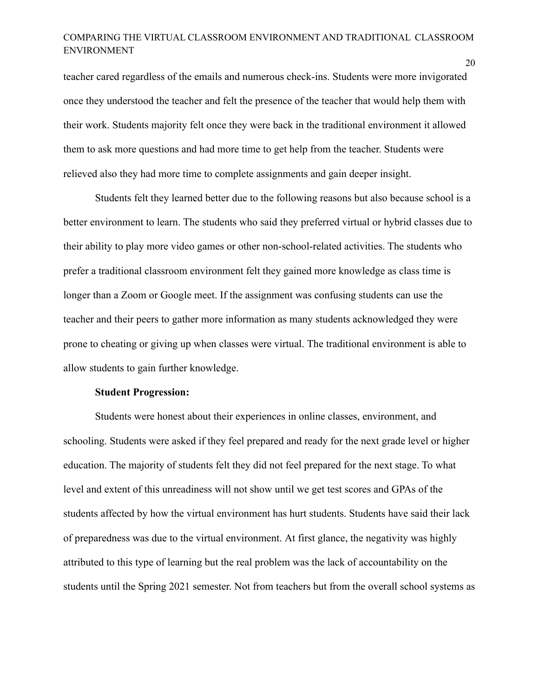teacher cared regardless of the emails and numerous check-ins. Students were more invigorated once they understood the teacher and felt the presence of the teacher that would help them with their work. Students majority felt once they were back in the traditional environment it allowed them to ask more questions and had more time to get help from the teacher. Students were relieved also they had more time to complete assignments and gain deeper insight.

Students felt they learned better due to the following reasons but also because school is a better environment to learn. The students who said they preferred virtual or hybrid classes due to their ability to play more video games or other non-school-related activities. The students who prefer a traditional classroom environment felt they gained more knowledge as class time is longer than a Zoom or Google meet. If the assignment was confusing students can use the teacher and their peers to gather more information as many students acknowledged they were prone to cheating or giving up when classes were virtual. The traditional environment is able to allow students to gain further knowledge.

## **Student Progression:**

Students were honest about their experiences in online classes, environment, and schooling. Students were asked if they feel prepared and ready for the next grade level or higher education. The majority of students felt they did not feel prepared for the next stage. To what level and extent of this unreadiness will not show until we get test scores and GPAs of the students affected by how the virtual environment has hurt students. Students have said their lack of preparedness was due to the virtual environment. At first glance, the negativity was highly attributed to this type of learning but the real problem was the lack of accountability on the students until the Spring 2021 semester. Not from teachers but from the overall school systems as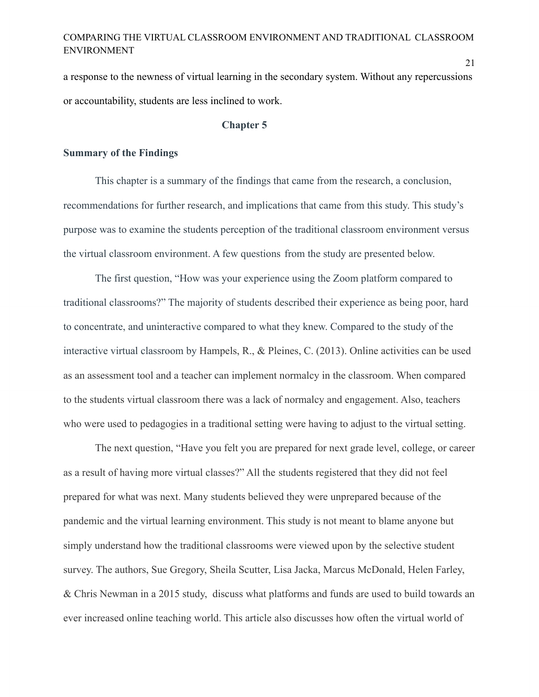a response to the newness of virtual learning in the secondary system. Without any repercussions or accountability, students are less inclined to work.

#### **Chapter 5**

#### **Summary of the Findings**

This chapter is a summary of the findings that came from the research, a conclusion, recommendations for further research, and implications that came from this study. This study's purpose was to examine the students perception of the traditional classroom environment versus the virtual classroom environment. A few questions from the study are presented below.

The first question, "How was your experience using the Zoom platform compared to traditional classrooms?" The majority of students described their experience as being poor, hard to concentrate, and uninteractive compared to what they knew. Compared to the study of the interactive virtual classroom by Hampels, R., & Pleines, C. (2013). Online activities can be used as an assessment tool and a teacher can implement normalcy in the classroom. When compared to the students virtual classroom there was a lack of normalcy and engagement. Also, teachers who were used to pedagogies in a traditional setting were having to adjust to the virtual setting.

The next question, "Have you felt you are prepared for next grade level, college, or career as a result of having more virtual classes?" All the students registered that they did not feel prepared for what was next. Many students believed they were unprepared because of the pandemic and the virtual learning environment. This study is not meant to blame anyone but simply understand how the traditional classrooms were viewed upon by the selective student survey. The authors, Sue Gregory, Sheila Scutter, Lisa Jacka, Marcus McDonald, Helen Farley, & Chris Newman in a 2015 study, discuss what platforms and funds are used to build towards an ever increased online teaching world. This article also discusses how often the virtual world of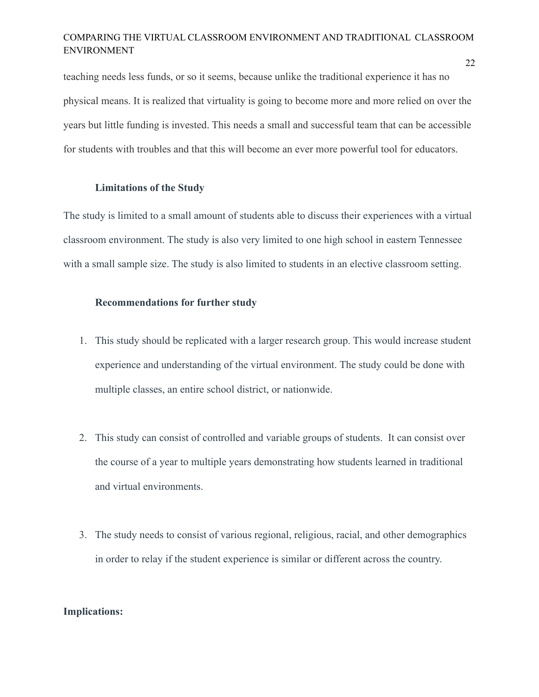teaching needs less funds, or so it seems, because unlike the traditional experience it has no physical means. It is realized that virtuality is going to become more and more relied on over the years but little funding is invested. This needs a small and successful team that can be accessible for students with troubles and that this will become an ever more powerful tool for educators.

#### **Limitations of the Study**

The study is limited to a small amount of students able to discuss their experiences with a virtual classroom environment. The study is also very limited to one high school in eastern Tennessee with a small sample size. The study is also limited to students in an elective classroom setting.

## **Recommendations for further study**

- 1. This study should be replicated with a larger research group. This would increase student experience and understanding of the virtual environment. The study could be done with multiple classes, an entire school district, or nationwide.
- 2. This study can consist of controlled and variable groups of students. It can consist over the course of a year to multiple years demonstrating how students learned in traditional and virtual environments.
- 3. The study needs to consist of various regional, religious, racial, and other demographics in order to relay if the student experience is similar or different across the country.

### **Implications:**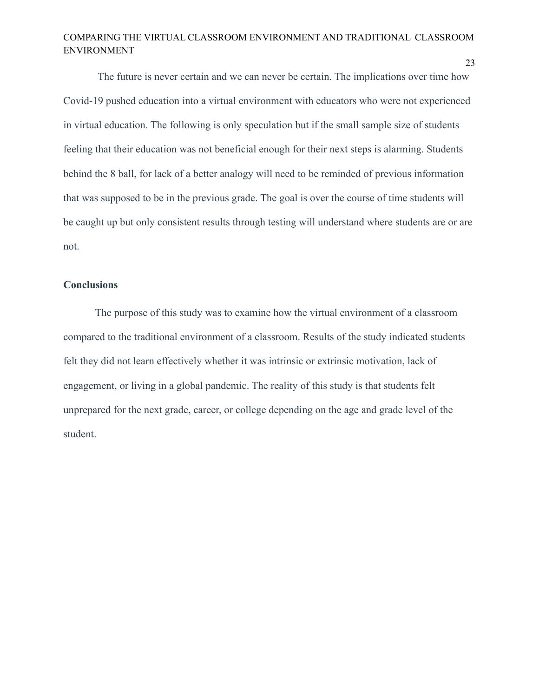The future is never certain and we can never be certain. The implications over time how Covid-19 pushed education into a virtual environment with educators who were not experienced in virtual education. The following is only speculation but if the small sample size of students feeling that their education was not beneficial enough for their next steps is alarming. Students behind the 8 ball, for lack of a better analogy will need to be reminded of previous information that was supposed to be in the previous grade. The goal is over the course of time students will be caught up but only consistent results through testing will understand where students are or are not.

### **Conclusions**

The purpose of this study was to examine how the virtual environment of a classroom compared to the traditional environment of a classroom. Results of the study indicated students felt they did not learn effectively whether it was intrinsic or extrinsic motivation, lack of engagement, or living in a global pandemic. The reality of this study is that students felt unprepared for the next grade, career, or college depending on the age and grade level of the student.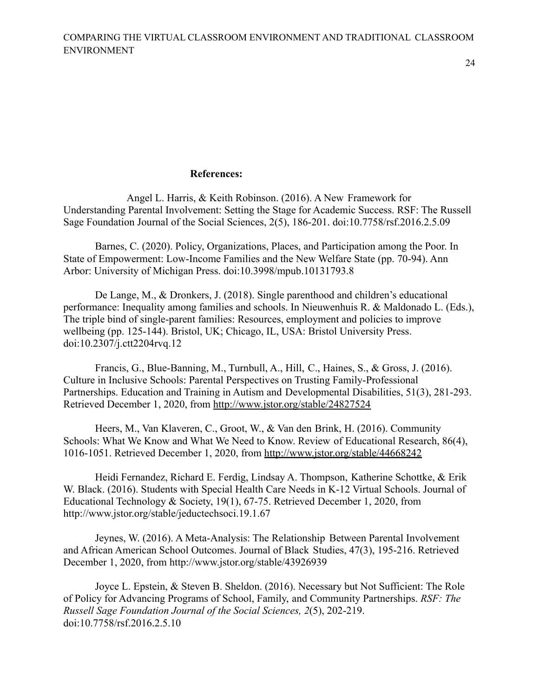24

## **References:**

Angel L. Harris, & Keith Robinson. (2016). A New Framework for Understanding Parental Involvement: Setting the Stage for Academic Success. RSF: The Russell Sage Foundation Journal of the Social Sciences, 2(5), 186-201. doi:10.7758/rsf.2016.2.5.09

Barnes, C. (2020). Policy, Organizations, Places, and Participation among the Poor. In State of Empowerment: Low-Income Families and the New Welfare State (pp. 70-94). Ann Arbor: University of Michigan Press. doi:10.3998/mpub.10131793.8

De Lange, M., & Dronkers, J. (2018). Single parenthood and children's educational performance: Inequality among families and schools. In Nieuwenhuis R. & Maldonado L. (Eds.), The triple bind of single-parent families: Resources, employment and policies to improve wellbeing (pp. 125-144). Bristol, UK; Chicago, IL, USA: Bristol University Press. doi:10.2307/j.ctt2204rvq.12

Francis, G., Blue-Banning, M., Turnbull, A., Hill, C., Haines, S., & Gross, J. (2016). Culture in Inclusive Schools: Parental Perspectives on Trusting Family-Professional Partnerships. Education and Training in Autism and Developmental Disabilities, 51(3), 281-293. Retrieved December 1, 2020, from<http://www.jstor.org/stable/24827524>

Heers, M., Van Klaveren, C., Groot, W., & Van den Brink, H. (2016). Community Schools: What We Know and What We Need to Know. Review of Educational Research, 86(4), 1016-1051. Retrieved December 1, 2020, from<http://www.jstor.org/stable/44668242>

Heidi Fernandez, Richard E. Ferdig, Lindsay A. Thompson, Katherine Schottke, & Erik W. Black. (2016). Students with Special Health Care Needs in K-12 Virtual Schools. Journal of Educational Technology & Society, 19(1), 67-75. Retrieved December 1, 2020, from http://www.jstor.org/stable/jeductechsoci.19.1.67

Jeynes, W. (2016). A Meta-Analysis: The Relationship Between Parental Involvement and African American School Outcomes. Journal of Black Studies, 47(3), 195-216. Retrieved December 1, 2020, from http://www.jstor.org/stable/43926939

Joyce L. Epstein, & Steven B. Sheldon. (2016). Necessary but Not Sufficient: The Role of Policy for Advancing Programs of School, Family, and Community Partnerships. *RSF: The Russell Sage Foundation Journal of the Social Sciences, 2*(5), 202-219. doi:10.7758/rsf.2016.2.5.10